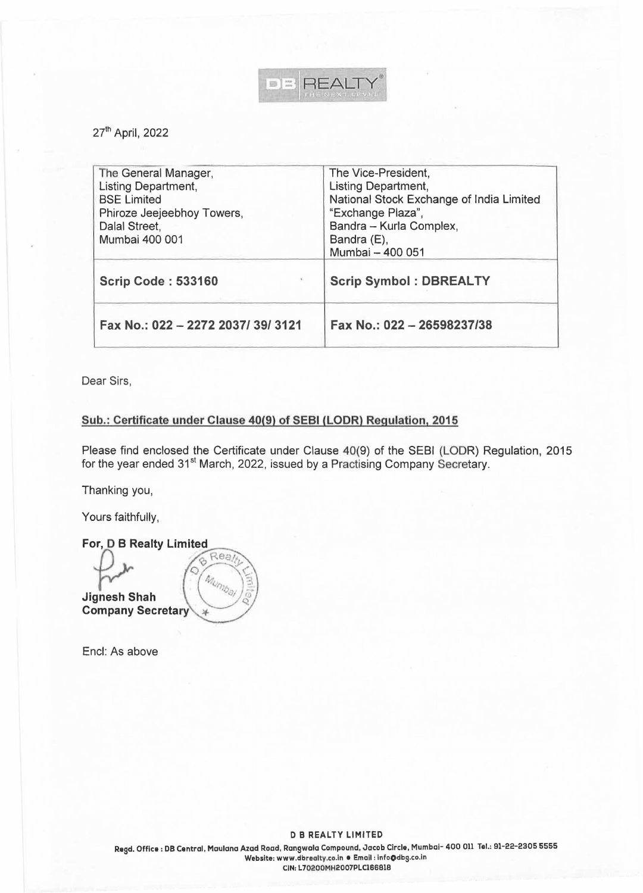

27<sup>th</sup> April, 2022

| Fax No.: 022 - 2272 2037/39/3121 | Fax No.: 022 - 26598237/38               |
|----------------------------------|------------------------------------------|
| <b>Scrip Code: 533160</b>        | <b>Scrip Symbol: DBREALTY</b>            |
| Mumbai 400 001                   | Bandra (E),<br>Mumbai - 400 051          |
| Dalal Street,                    | Bandra - Kurla Complex,                  |
| Phiroze Jeejeebhoy Towers,       | "Exchange Plaza",                        |
| <b>BSE Limited</b>               | National Stock Exchange of India Limited |
| Listing Department,              | Listing Department,                      |
| The General Manager,             | The Vice-President,                      |

Dear Sirs,

## **Sub.: Certificate under Clause 40(9) of SEBI (LODR) Regulation, 2015**

Please find enclosed the Certificate under Clause 40(9) of the SEBI (LODR) Regulation, 2015 for the year ended 31<sup>st</sup> March, 2022, issued by a Practising Company Secretary.

Thanking you,

Yours faithfully,

For, D B Realty Limited Rea 6 Mumbal **Jignesh Shah Company Secretary** 

Encl: As above

**D B REALTY LIMITED**